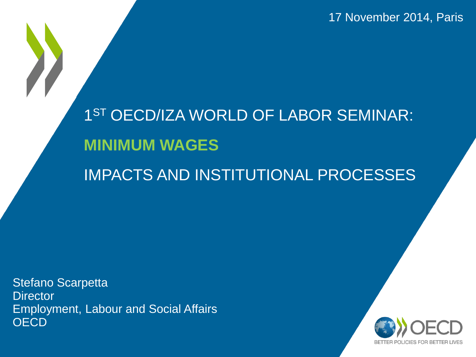17 November 2014, Paris

1<sup>ST</sup> OECD/IZA WORLD OF LABOR SEMINAR: **MINIMUM WAGES** 

IMPACTS AND INSTITUTIONAL PROCESSES

Stefano Scarpetta **Director** Employment, Labour and Social Affairs **OECD** 

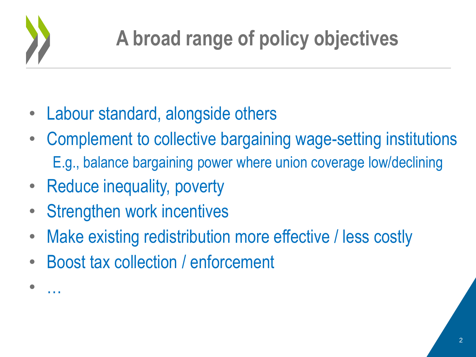

• …

- Labour standard, alongside others
- Complement to collective bargaining wage-setting institutions E.g., balance bargaining power where union coverage low/declining
- Reduce inequality, poverty
- **Strengthen work incentives**
- Make existing redistribution more effective / less costly
- Boost tax collection / enforcement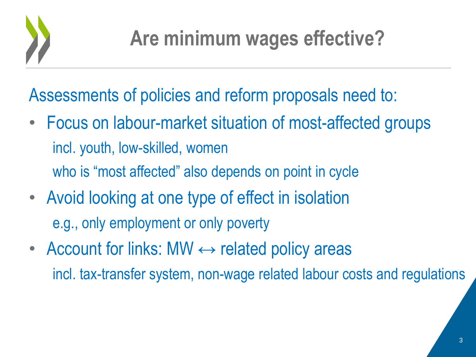

Assessments of policies and reform proposals need to:

- Focus on labour-market situation of most-affected groups incl. youth, low-skilled, women who is "most affected" also depends on point in cycle
- Avoid looking at one type of effect in isolation e.g., only employment or only poverty
- Account for links: MW  $\leftrightarrow$  related policy areas incl. tax-transfer system, non-wage related labour costs and regulations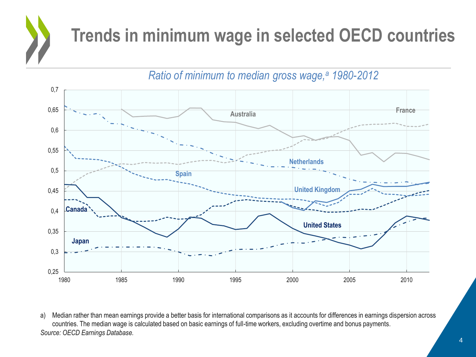

*Ratio of minimum to median gross wage,<sup>a</sup> 1980-2012*



a) Median rather than mean earnings provide a better basis for international comparisons as it accounts for differences in earnings dispersion across countries. The median wage is calculated based on basic earnings of full-time workers, excluding overtime and bonus payments. *Source: OECD Earnings Database.*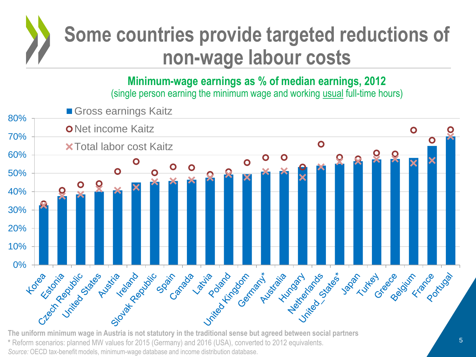

### **Some countries provide targeted reductions of non-wage labour costs**

**Minimum-wage earnings as % of median earnings, 2012** (single person earning the minimum wage and working usual full-time hours)



**The uniform minimum wage in Austria is not statutory in the traditional sense but agreed between social partners \*** Reform scenarios: planned MW values for 2015 (Germany) and 2016 (USA), converted to 2012 equivalents. *Source:* OECD tax-benefit models, minimum-wage database and income distribution database.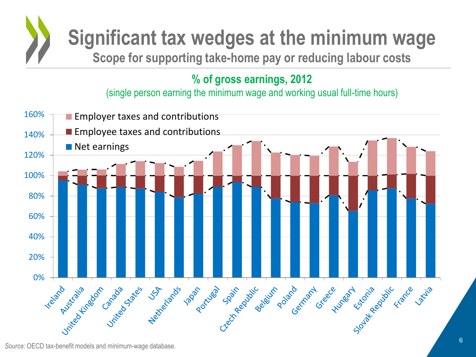

#### **% of gross earnings, 2012**

(single person earning the minimum wage and working usual full-time hours)



*Source:* OECD tax-benefit models and minimum-wage database.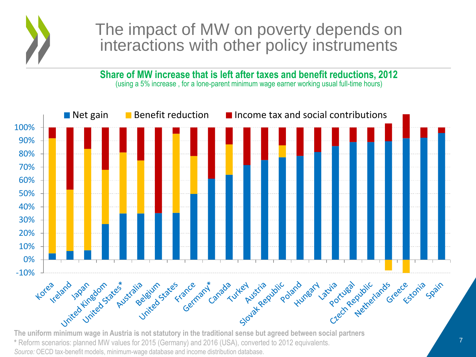

### The impact of MW on poverty depends on interactions with other policy instruments

**Share of MW increase that is left after taxes and benefit reductions, 2012** (using a 5% increase , for a lone-parent minimum wage earner working usual full-time hours)



**The uniform minimum wage in Austria is not statutory in the traditional sense but agreed between social partners \*** Reform scenarios: planned MW values for 2015 (Germany) and 2016 (USA), converted to 2012 equivalents. *Source:* OECD tax-benefit models, minimum-wage database and income distribution database.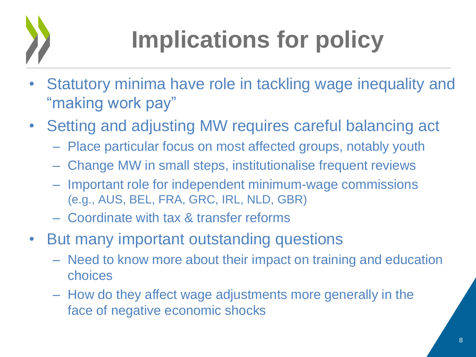

## **Implications for policy**

- Statutory minima have role in tackling wage inequality and "making work pay"
- Setting and adjusting MW requires careful balancing act
	- Place particular focus on most affected groups, notably youth
	- Change MW in small steps, institutionalise frequent reviews
	- Important role for independent minimum-wage commissions (e.g., AUS, BEL, FRA, GRC, IRL, NLD, GBR)
	- Coordinate with tax & transfer reforms
- But many important outstanding questions
	- Need to know more about their impact on training and education choices
	- How do they affect wage adjustments more generally in the face of negative economic shocks